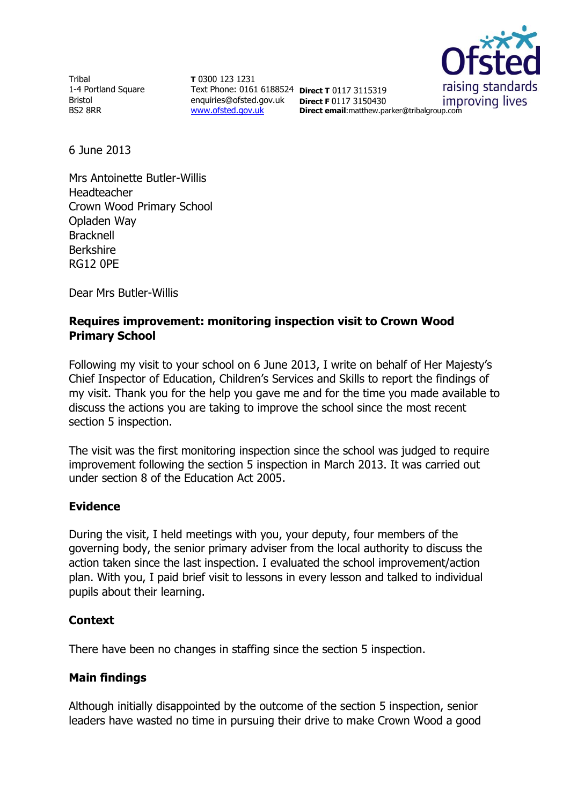Tribal 1-4 Portland Square Bristol BS2 8RR

**T** 0300 123 1231 Text Phone: 0161 6188524 **Direct T** 0117 3115319 enquiries@ofsted.gov.uk **Direct F** 0117 3150430 [www.ofsted.gov.uk](http://www.ofsted.gov.uk/)



**Direct email**:matthew.parker@tribalgroup.com

6 June 2013

Mrs Antoinette Butler-Willis Headteacher Crown Wood Primary School Opladen Way **Bracknell** Berkshire RG12 0PE

Dear Mrs Butler-Willis

# **Requires improvement: monitoring inspection visit to Crown Wood Primary School**

Following my visit to your school on 6 June 2013, I write on behalf of Her Majesty's Chief Inspector of Education, Children's Services and Skills to report the findings of my visit. Thank you for the help you gave me and for the time you made available to discuss the actions you are taking to improve the school since the most recent section 5 inspection.

The visit was the first monitoring inspection since the school was judged to require improvement following the section 5 inspection in March 2013. It was carried out under section 8 of the Education Act 2005.

## **Evidence**

During the visit, I held meetings with you, your deputy, four members of the governing body, the senior primary adviser from the local authority to discuss the action taken since the last inspection. I evaluated the school improvement/action plan. With you, I paid brief visit to lessons in every lesson and talked to individual pupils about their learning.

## **Context**

There have been no changes in staffing since the section 5 inspection.

## **Main findings**

Although initially disappointed by the outcome of the section 5 inspection, senior leaders have wasted no time in pursuing their drive to make Crown Wood a good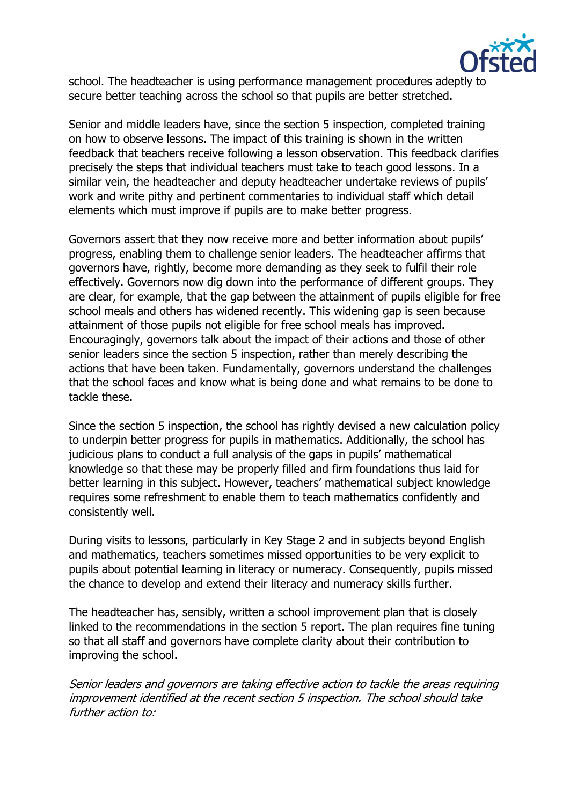

school. The headteacher is using performance management procedures adeptly to secure better teaching across the school so that pupils are better stretched.

Senior and middle leaders have, since the section 5 inspection, completed training on how to observe lessons. The impact of this training is shown in the written feedback that teachers receive following a lesson observation. This feedback clarifies precisely the steps that individual teachers must take to teach good lessons. In a similar vein, the headteacher and deputy headteacher undertake reviews of pupils' work and write pithy and pertinent commentaries to individual staff which detail elements which must improve if pupils are to make better progress.

Governors assert that they now receive more and better information about pupils' progress, enabling them to challenge senior leaders. The headteacher affirms that governors have, rightly, become more demanding as they seek to fulfil their role effectively. Governors now dig down into the performance of different groups. They are clear, for example, that the gap between the attainment of pupils eligible for free school meals and others has widened recently. This widening gap is seen because attainment of those pupils not eligible for free school meals has improved. Encouragingly, governors talk about the impact of their actions and those of other senior leaders since the section 5 inspection, rather than merely describing the actions that have been taken. Fundamentally, governors understand the challenges that the school faces and know what is being done and what remains to be done to tackle these.

Since the section 5 inspection, the school has rightly devised a new calculation policy to underpin better progress for pupils in mathematics. Additionally, the school has judicious plans to conduct a full analysis of the gaps in pupils' mathematical knowledge so that these may be properly filled and firm foundations thus laid for better learning in this subject. However, teachers' mathematical subject knowledge requires some refreshment to enable them to teach mathematics confidently and consistently well.

During visits to lessons, particularly in Key Stage 2 and in subjects beyond English and mathematics, teachers sometimes missed opportunities to be very explicit to pupils about potential learning in literacy or numeracy. Consequently, pupils missed the chance to develop and extend their literacy and numeracy skills further.

The headteacher has, sensibly, written a school improvement plan that is closely linked to the recommendations in the section 5 report. The plan requires fine tuning so that all staff and governors have complete clarity about their contribution to improving the school.

Senior leaders and governors are taking effective action to tackle the areas requiring improvement identified at the recent section 5 inspection. The school should take further action to: